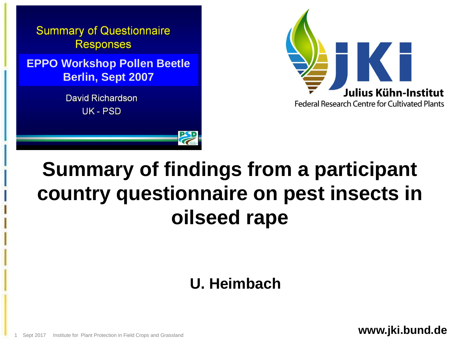



## **Summary of findings from a participant country questionnaire on pest insects in oilseed rape**

## **U. Heimbach**

**www.jki.bund.de**

Sept 2017 Institute for Plant Protection in Field Crops and Grassland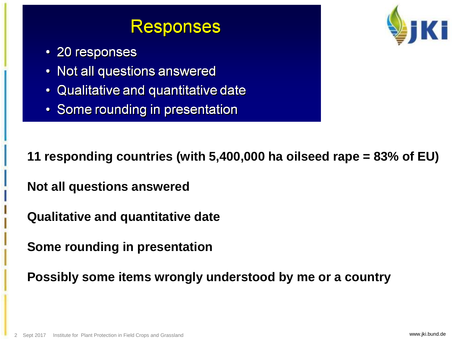## **Responses**

- 20 responses
- Not all questions answered
- Qualitative and quantitative date
- Some rounding in presentation



**11 responding countries (with 5,400,000 ha oilseed rape = 83% of EU)** 

**Not all questions answered**

**Qualitative and quantitative date**

**Some rounding in presentation**

**Possibly some items wrongly understood by me or a country**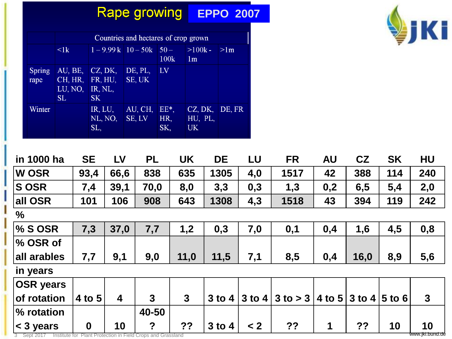## **Rape growing EPPO 2007**

|                       | Countries and hectares of crop grown       |                                            |                          |                      |                                        |                 |  |  |  |  |
|-----------------------|--------------------------------------------|--------------------------------------------|--------------------------|----------------------|----------------------------------------|-----------------|--|--|--|--|
|                       | $\leq$ lk                                  | $1 - 9.99k$ 10 - 50k                       |                          | $50 -$<br>100k       | $>100k -$<br>1m                        | >1 <sub>m</sub> |  |  |  |  |
| <b>Spring</b><br>rape | AU, BE,<br>CH, HR,<br>LU, NO,<br><b>SL</b> | CZ, DK,<br>FR, HU,<br>IR, NL,<br><b>SK</b> | DE, PL.<br>SE, UK        | LV                   |                                        |                 |  |  |  |  |
| Winter                |                                            | IR, LU,<br>NL, NO,<br>SL,                  | AU, CH,<br><b>SE, LV</b> | $EE^*$<br>HR,<br>SK, | CZ, DK, DE, FR<br>HU, PL,<br><b>UK</b> |                 |  |  |  |  |



| in 1000 ha       | <b>SE</b>        | LV                      | <b>PL</b>        | <b>UK</b>    | <b>DE</b>  | LU       | <b>FR</b>    | <b>AU</b> | CZ                            | <b>SK</b> | HU           |
|------------------|------------------|-------------------------|------------------|--------------|------------|----------|--------------|-----------|-------------------------------|-----------|--------------|
| <b>W OSR</b>     | 93,4             | 66,6                    | 838              | 635          | 1305       | 4,0      | 1517         | 42        | 388                           | 114       | 240          |
| <b>SOSR</b>      | 7,4              | 39,1                    | 70,0             | 8,0          | 3,3        | 0,3      | 1,3          | 0,2       | 6,5                           | 5,4       | 2,0          |
| all OSR          | 101              | 106                     | 908              | 643          | 1308       | 4,3      | 1518         | 43        | 394                           | 119       | 242          |
| $\%$             |                  |                         |                  |              |            |          |              |           |                               |           |              |
| $\%$ S OSR       | 7,3              | 37,0                    | 7,7              | 1,2          | 0,3        | 7,0      | 0,1          | 0,4       | 1,6                           | 4,5       | 0,8          |
| % OSR of         |                  |                         |                  |              |            |          |              |           |                               |           |              |
| all arables      | 7,7              | 9,1                     | 9,0              | 11,0         | 11,5       | 7,1      | 8,5          | 0,4       | 16,0                          | 8,9       | 5,6          |
| in years         |                  |                         |                  |              |            |          |              |           |                               |           |              |
| <b>OSR</b> years |                  |                         |                  |              |            |          |              |           |                               |           |              |
| of rotation      | 4 to 5           | $\overline{\mathbf{4}}$ | 3                | $\mathbf{3}$ | $3$ to $4$ | $3$ to 4 | $3$ to $>$ 3 | 4 to 5    | $\vert$ 3 to 4 $\vert$ 5 to 6 |           | $\mathbf{3}$ |
| % rotation       |                  |                         | 40-50            |              |            |          |              |           |                               |           |              |
| < 3 years        | $\boldsymbol{0}$ | 10                      | $\boldsymbol{?}$ | ??           | $3$ to $4$ | $\leq 2$ | ??           | 1         | ??                            | 10        | 10           |

3 Sept 2017 Institute for Plant Protection in Field Crops and Grassland www.jki.bund.de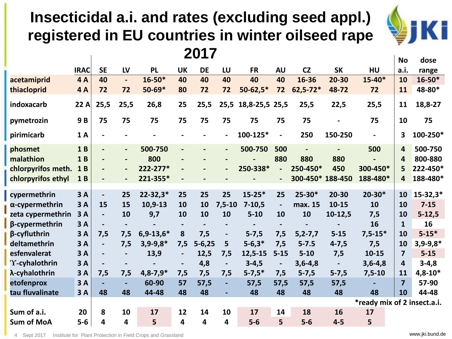### **Insecticidal a.i. and rates (excluding seed appl.) registered in EU countries in winter oilseed rape 2017**



|                    |             |                          |                          |                |                              |                          |                          |                          |                |                  |                          |                             | <b>No</b>               | dose         |
|--------------------|-------------|--------------------------|--------------------------|----------------|------------------------------|--------------------------|--------------------------|--------------------------|----------------|------------------|--------------------------|-----------------------------|-------------------------|--------------|
|                    | <b>IRAC</b> | <b>SE</b>                | LV                       | <b>PL</b>      | <b>UK</b>                    | <b>DE</b>                | LU                       | <b>FR</b>                | <b>AU</b>      | CZ               | <b>SK</b>                | <b>HU</b>                   | a.i.                    | range        |
| acetamiprid        | <b>4A</b>   | 40                       | $\blacksquare$           | $16 - 50*$     | 40                           | 40                       | 40                       | 40                       | 40             | 16-36            | 20-30                    | $15 - 40*$                  | 10                      | $16 - 50*$   |
| thiacloprid        | <b>4A</b>   | 72                       | 72                       | $50 - 69*$     | 80                           | 72                       | 72                       | $50 - 62,5*$             | 72             | $62,5 - 72*$     | 48-72                    | 72                          | 11                      | 48-80*       |
| indoxacarb         | 22 A        | 25,5                     | 25,5                     | 26,8           | 25                           | 25,5                     |                          | 25,5 18,8-25,5 25,5      |                | 25,5             | 22,5                     | 25,5                        | 11                      | 18,8-27      |
| pymetrozin         | 9B          | 75                       | 75                       | 75             | 75                           | 75                       | 75                       | 75                       | 75             | 75               |                          | 75                          | 10                      | 75           |
| pirimicarb         | 1A          | $\blacksquare$           |                          |                |                              |                          | $\overline{a}$           | 100-125*                 | $\blacksquare$ | 250              | 150-250                  |                             | 3                       | 100-250*     |
| phosmet            | 1B          | $\blacksquare$           | $\overline{\phantom{a}}$ | 500-750        | $\overline{\phantom{0}}$     |                          | $\overline{\phantom{a}}$ | 500-750                  | 500            |                  |                          | 500                         | 4                       | 500-750      |
| malathion          | 1B          | $\overline{\phantom{a}}$ | $\overline{\phantom{a}}$ | 800            | $\overline{\phantom{a}}$     |                          | $\overline{\phantom{a}}$ |                          | 880            | 880              | 880                      |                             | 4                       | 800-880      |
| chlorpyrifos meth. | 1B          | $\overline{\phantom{a}}$ | $\overline{\phantom{a}}$ | 222-277*       | $\qquad \qquad \blacksquare$ |                          | $\overline{\phantom{a}}$ | 250-338*                 |                | 250-450*         | 450                      | 300-450*                    | 5                       | 222-450*     |
| chlorpyrifos ethyl | 1B          |                          |                          | 221-355*       | $\overline{\phantom{a}}$     |                          |                          |                          | $\blacksquare$ | 300-450* 188-450 |                          | 188-480*                    | $\overline{4}$          | 188-480*     |
|                    |             |                          |                          |                |                              |                          |                          | $15 - 25*$               |                | $25 - 30*$       | $20 - 30$                | $20 - 30*$                  |                         |              |
| cypermethrin       | 3A          | $\blacksquare$           | 25                       | $22 - 32,3*$   | 25                           | 25                       | 25                       |                          | 25             |                  |                          |                             | 10                      | $15 - 32,3*$ |
| α-cypermethrin     | 3A          | 15                       | 15                       | $10,9-13$      | 10                           | 10                       | $7,5-10$                 | $7 - 10,5$               | $\blacksquare$ | max. 15          | $10 - 15$                | 10                          | 10                      | $7 - 15$     |
| zeta cypermethrin  | 3A          | $\blacksquare$           | 10                       | 9,7            | 10                           | 10                       | 10                       | $5 - 10$                 | 10             | 10               | $10-12,5$                | 7,5                         | 10                      | $5 - 12,5$   |
| β-cypermethrin     | 3A          | $\overline{\phantom{a}}$ | $\overline{\phantom{a}}$ | $\blacksquare$ | $\overline{\phantom{a}}$     | $\overline{\phantom{a}}$ | $\overline{\phantom{a}}$ | $\overline{\phantom{a}}$ | $\blacksquare$ | $\blacksquare$   | $\overline{\phantom{a}}$ | 16                          | $\mathbf{1}$            | 16           |
| β-cyfluthrin       | 3A          | 7,5                      | 7,5                      | $6,9-13,6*$    | 8                            | 7,5                      | $\overline{\phantom{a}}$ | $5 - 7,5$                | 7,5            | $5, 2 - 7, 7$    | $5 - 15$                 | $7,5-15*$                   | 10                      | $5 - 15*$    |
| deltamethrin       | 3A          |                          | 7,5                      | $3,9-9,8*$     | 7,5                          | $5 - 6,25$               | 5                        | $5 - 6,3*$               | 7,5            | $5 - 7.5$        | $4 - 7,5$                | 7,5                         | 10                      | $3,9-9,8*$   |
| esfenvalerat       | 3A          | $\overline{\phantom{a}}$ | $\blacksquare$           | 13,9           | $\overline{\phantom{a}}$     | 12,5                     | 7,5                      | 12,5-15                  | $5 - 15$       | $5 - 10$         | 7,5                      | $10 - 15$                   | $\overline{\mathbf{z}}$ | $5 - 15$     |
| 'Y-cyhalothrin     | 3A          |                          | $\overline{\phantom{a}}$ |                | $\overline{\phantom{a}}$     | 4,8                      | $\overline{\phantom{a}}$ | $3 - 4,5$                | $\blacksquare$ | $3,6-4,8$        |                          | $3,6-4,8$                   | $\overline{4}$          | $3 - 4, 8$   |
| λ-cyhalothrin      | 3A          | 7,5                      | 7,5                      | $4,8-7,9*$     | 7,5                          | 7,5                      | 7,5                      | $5 - 7,5*$               | 7,5            | $5 - 7,5$        | $5 - 7,5$                | $7,5-10$                    | 11                      | $4,8-10*$    |
| etofenprox         | 3A          |                          | $\blacksquare$           | 60-90          | 57                           | 57,5                     | $\overline{a}$           | 57,5                     | 57,5           | 57,5             | 57,5                     |                             | $\overline{7}$          | 57-90        |
| tau fluvalinate    | 3A          | 48                       | 48                       | 44-48          | 48                           | 48                       | $\blacksquare$           | 48                       | 48             | 48               | 48                       | 48                          | 10                      | 44-48        |
|                    |             |                          |                          |                |                              |                          |                          |                          |                |                  |                          | *ready mix of 2 insect.a.i. |                         |              |
| Sum of a.i.        | 20          | 8                        | 10                       | 17             | 12                           | 14                       | 10                       | 17                       | 14             | 18               | 16                       | 17                          |                         |              |
| <b>Sum of MoA</b>  | $5-6$       | 4                        | $\overline{\mathbf{4}}$  | 5              | 4                            | 4                        | 4                        | $5-6$                    | 5              | $5-6$            | $4-5$                    | 5                           |                         |              |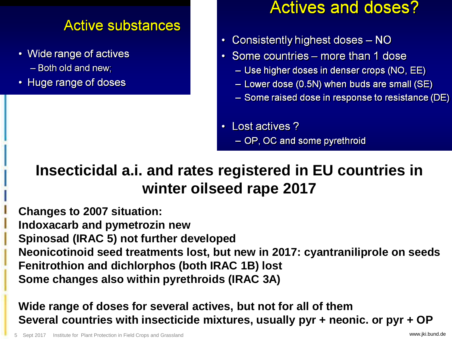#### **Active substances**

- Wide range of actives - Both old and new;
- Huge range of doses

## **Actives and doses?**

- Consistently highest doses NO
- Some countries more than 1 dose
	- Use higher doses in denser crops (NO, EE)
	- Lower dose (0.5N) when buds are small (SE)
	- $-$  Some raised dose in response to resistance (DE)
- Lost actives ? - OP, OC and some pyrethroid

## **Insecticidal a.i. and rates registered in EU countries in winter oilseed rape 2017**

**Changes to 2007 situation: Indoxacarb and pymetrozin new Spinosad (IRAC 5) not further developed Neonicotinoid seed treatments lost, but new in 2017: cyantraniliprole on seeds Fenitrothion and dichlorphos (both IRAC 1B) lost Some changes also within pyrethroids (IRAC 3A)**

**Wide range of doses for several actives, but not for all of them Several countries with insecticide mixtures, usually pyr + neonic. or pyr + OP**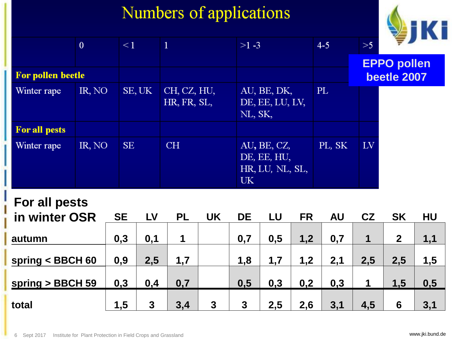## Numbers of applications



|                          | $\mathbf{0}$ | $\leq 1$  |                            | $>1 -3$                                              | $4 - 5$ | >5                 |
|--------------------------|--------------|-----------|----------------------------|------------------------------------------------------|---------|--------------------|
|                          |              |           |                            |                                                      |         | <b>EPPO pollen</b> |
| <b>For pollen beetle</b> |              |           |                            |                                                      |         | beetle 2007        |
| Winter rape              | IR, NO       | SE, UK    | CH, CZ, HU,<br>HR, FR, SL, | AU, BE, DK,<br>DE, EE, LU, LV,<br>NL, SK,            | PL      |                    |
| <b>For all pests</b>     |              |           |                            |                                                      |         |                    |
| Winter rape              | IR, NO       | <b>SE</b> | CH                         | AU, BE, CZ,<br>DE, EE, HU,<br>HR, LU, NL, SL,<br>UK. | PL, SK  | LV <sub></sub>     |

#### **For all pests**

| in winter OSR      | <b>SE</b> | <b>LV</b> | <b>PL</b> | <b>UK</b>      | <b>DE</b> | LU  | <b>FR</b> | <b>AU</b> | CZ  | <b>SK</b>    | HU  |
|--------------------|-----------|-----------|-----------|----------------|-----------|-----|-----------|-----------|-----|--------------|-----|
| autumn             | 0,3       | 0,1       |           |                | 0,7       | 0,5 | 1,2       | 0,7       |     | $\mathbf{2}$ | 1,1 |
| spring $<$ BBCH 60 | 0,9       | 2,5       | 1,7       |                | 1.8       | 1,7 | 1,2       | 2,1       | 2,5 | 2,5          | 1,5 |
| spring > BBCH 59   | 0,3       | 0,4       | 0,7       |                | 0,5       | 0,3 | 0,2       | 0,3       | 1   | 1,5          | 0,5 |
| total              | 1,5       | 3         | 3.4       | $\overline{3}$ | 3         | 2,5 | 2,6       | 3,1       | 4,5 | 6            | 3,1 |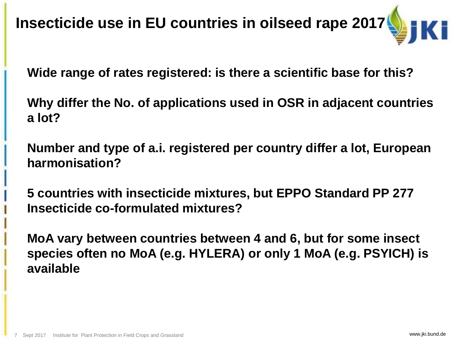**Insecticide use in EU countries in oilseed rape 2017**

**Wide range of rates registered: is there a scientific base for this?**

**Why differ the No. of applications used in OSR in adjacent countries a lot?** 

**Number and type of a.i. registered per country differ a lot, European harmonisation?**

**5 countries with insecticide mixtures, but EPPO Standard PP 277 Insecticide co-formulated mixtures?**

**MoA vary between countries between 4 and 6, but for some insect species often no MoA (e.g. HYLERA) or only 1 MoA (e.g. PSYICH) is available**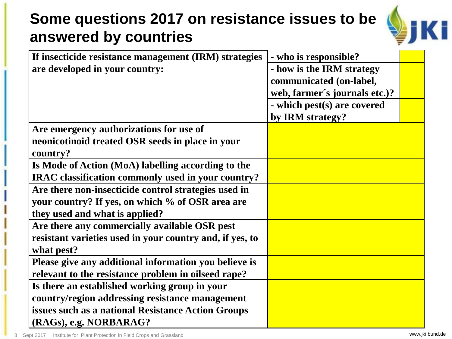## **Some questions 2017 on resistance issues to be answered by countries**



| If insecticide resistance management (IRM) strategies    | - who is responsible?         |  |
|----------------------------------------------------------|-------------------------------|--|
| are developed in your country:                           | - how is the IRM strategy     |  |
|                                                          | communicated (on-label,       |  |
|                                                          | web, farmer's journals etc.)? |  |
|                                                          | - which pest(s) are covered   |  |
|                                                          | by IRM strategy?              |  |
| Are emergency authorizations for use of                  |                               |  |
| neonicotinoid treated OSR seeds in place in your         |                               |  |
| country?                                                 |                               |  |
| Is Mode of Action (MoA) labelling according to the       |                               |  |
| IRAC classification commonly used in your country?       |                               |  |
| Are there non-insecticide control strategies used in     |                               |  |
| your country? If yes, on which % of OSR area are         |                               |  |
| they used and what is applied?                           |                               |  |
| Are there any commercially available OSR pest            |                               |  |
| resistant varieties used in your country and, if yes, to |                               |  |
| what pest?                                               |                               |  |
| Please give any additional information you believe is    |                               |  |
| relevant to the resistance problem in oilseed rape?      |                               |  |
| Is there an established working group in your            |                               |  |
| country/region addressing resistance management          |                               |  |
| issues such as a national Resistance Action Groups       |                               |  |
| (RAGs), e.g. NORBARAG?                                   |                               |  |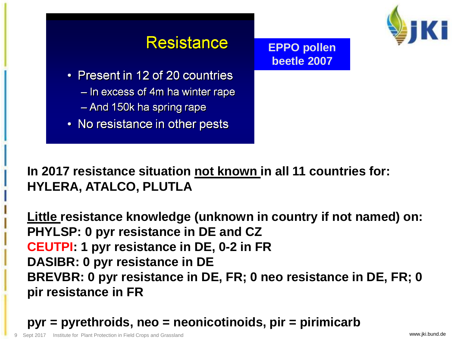

## **Resistance**

**EPPO pollen beetle 2007** 

- Present in 12 of 20 countries
	- In excess of 4m ha winter rape
	- And 150k ha spring rape
- No resistance in other pests

**In 2017 resistance situation not known in all 11 countries for: HYLERA, ATALCO, PLUTLA**

**Little resistance knowledge (unknown in country if not named) on: PHYLSP: 0 pyr resistance in DE and CZ CEUTPI: 1 pyr resistance in DE, 0-2 in FR DASIBR: 0 pyr resistance in DE BREVBR: 0 pyr resistance in DE, FR; 0 neo resistance in DE, FR; 0 pir resistance in FR**

**pyr = pyrethroids, neo = neonicotinoids, pir = pirimicarb**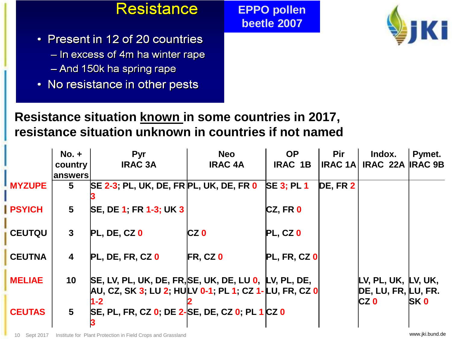

**EPPO pollen beetle 2007** 



- Present in 12 of 20 countries
	- In excess of 4m ha winter rape
	- And 150k ha spring rape
- No resistance in other pests

#### **Resistance situation known in some countries in 2017, resistance situation unknown in countries if not named**

|               | No. +           | <b>Pyr</b>                                                                                                            | <b>Neo</b>      | <b>OP</b>                 | <b>Pir</b>          | Indox.                                             | Pymet.     |
|---------------|-----------------|-----------------------------------------------------------------------------------------------------------------------|-----------------|---------------------------|---------------------|----------------------------------------------------|------------|
|               | country         | <b>IRAC 3A</b>                                                                                                        | <b>IRAC 4A</b>  | <b>IRAC 1B</b>            | <b>IRAC 1A</b>      | IRAC 22A IRAC 9B                                   |            |
|               | answers         |                                                                                                                       |                 |                           |                     |                                                    |            |
| <b>MYZUPE</b> | 5               | SE 2-3; PL, UK, DE, FR PL, UK, DE, FR 0                                                                               |                 | <b>SE 3: PL 1</b>         | DE, FR <sub>2</sub> |                                                    |            |
| <b>PSYICH</b> | $5\phantom{.0}$ | SE, DE 1; FR 1-3; UK 3                                                                                                |                 | CZ, FRO                   |                     |                                                    |            |
| <b>CEUTQU</b> | $\mathbf{3}$    | $PL, DE, CZ$ <sup>0</sup>                                                                                             | CZ <sub>0</sub> | $PL, CZ$ 0                |                     |                                                    |            |
| <b>CEUTNA</b> | 4               | <b>PL, DE, FR, CZ 0</b>                                                                                               | $FR, CZ$ 0      | $PL, FR, CZ$ <sup>O</sup> |                     |                                                    |            |
| <b>MELIAE</b> | 10              | SE, LV, PL, UK, DE, FR, SE, UK, DE, LU 0, LV, PL, DE,<br>AU, CZ, SK 3; LU 2; HULV 0-1; PL 1; CZ 1-LU, FR, CZ 0<br>I-2 |                 |                           |                     | LV, PL, UK, LV, UK,<br>DE, LU, FR, LU, FR.<br>CZ 0 | <b>SKO</b> |
| <b>CEUTAS</b> | 5 <sup>5</sup>  | SE, PL, FR, CZ 0; DE 2-SE, DE, CZ 0; PL 1 CZ 0                                                                        |                 |                           |                     |                                                    |            |

10 Sept 2017 Institute for Plant Protection in Field Crops and Grassland States and States and States and States and States and States and States and States and States and States and States and States and States and States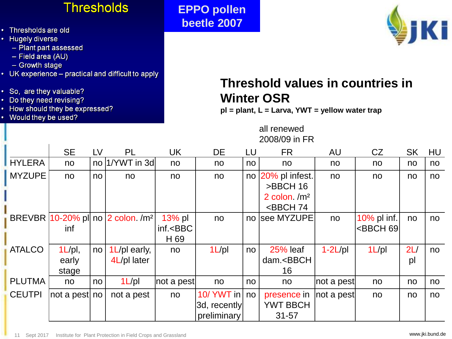#### **Thresholds**

- Thresholds are old
- Hugely diverse
	- Plant part assessed
	- Field area (AU)
	- Growth stage
- UK experience practical and difficult to apply
- So, are they valuable?
- Do they need revising?
- How should they be expressed?
- Would they be used?

**EPPO pollen beetle 2007** 



#### **Threshold values in countries in Winter OSR**

**pl = plant, L = Larva, YWT = yellow water trap**

all renewed 2008/09 in FR

|               | <b>SE</b>     | LV              | <b>PL</b>                                          | UK              | <b>DE</b>    | LU | <b>FR</b>                                                        | AU         | CZ                                           | <b>SK</b> | HU |
|---------------|---------------|-----------------|----------------------------------------------------|-----------------|--------------|----|------------------------------------------------------------------|------------|----------------------------------------------|-----------|----|
| <b>HYLERA</b> | no            |                 | no  1/YWT in 3d                                    | no              | no           | no | no                                                               | no         | no                                           | no        | no |
| <b>MYZUPE</b> | no            | no              | no                                                 | no              | no           |    | no 20% pl infest.                                                | no         | no                                           | no        | no |
|               |               |                 |                                                    |                 |              |    | >BBCH 16                                                         |            |                                              |           |    |
|               |               |                 |                                                    |                 |              |    | 2 colon $/m2$                                                    |            |                                              |           |    |
|               |               |                 |                                                    |                 |              |    | <bbch 74<="" td=""><td></td><td></td><td></td><td></td></bbch>   |            |                                              |           |    |
|               |               |                 | BREVBR   10-20% pl  no   2 colon. / m <sup>2</sup> | 13% pl          | no           |    | no see MYZUPE                                                    | no         | 10% pl inf.                                  | no        | no |
|               | inf           |                 |                                                    | $inf.<$ BBC     |              |    |                                                                  |            | <bbch 69<="" td=""><td></td><td></td></bbch> |           |    |
|               |               |                 |                                                    | H <sub>69</sub> |              |    |                                                                  |            |                                              |           |    |
| <b>ATALCO</b> | $1L$ /pl,     | no <sub>l</sub> | $1 \angle p$ early,                                | no              | $1L$ /pl     | no | <b>25% leaf</b>                                                  | $1-2L$ /pl | $1L$ /pl                                     | 2L/       | no |
|               | early         |                 | 4L/pl later                                        |                 |              |    | dam. <bbch< td=""><td></td><td></td><td>pl</td><td></td></bbch<> |            |                                              | pl        |    |
|               | stage         |                 |                                                    |                 |              |    | 16                                                               |            |                                              |           |    |
| <b>PLUTMA</b> | no            | no              | $1L$ /pl                                           | not a pest      | no           | no | no                                                               | not a pest | no                                           | no        | no |
| <b>CEUTPI</b> | not a pest no |                 | not a pest                                         | no              | 10/ $YWT$ in | no | presence in                                                      | not a pest | no                                           | no        | no |
|               |               |                 |                                                    |                 | 3d, recently |    | <b>YWT BBCH</b>                                                  |            |                                              |           |    |
|               |               |                 |                                                    |                 | preliminary  |    | $31 - 57$                                                        |            |                                              |           |    |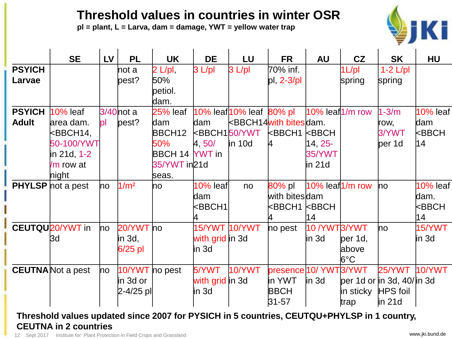#### **Threshold values in countries in winter OSR**

**pl = plant, L = Larva, dam = damage, YWT = yellow water trap**



|               | <b>SE</b>                | <b>LV</b> | <b>PL</b>        | <b>UK</b>             | <b>DE</b>                               | LU                             | <b>FR</b>                     | <b>AU</b>             | CZ            | <b>SK</b>                         | <b>HU</b>             |
|---------------|--------------------------|-----------|------------------|-----------------------|-----------------------------------------|--------------------------------|-------------------------------|-----------------------|---------------|-----------------------------------|-----------------------|
| <b>PSYICH</b> |                          |           | hot a            | $2 \text{ L/pl}$      | $3 L$ pl                                | $3 L$ pl                       | 70% inf.                      |                       | $1L$ /pl      | $1-2$ L/pl                        |                       |
| Larvae        |                          |           | pest?            | 50%                   |                                         |                                | $pl, 2-3pl$                   |                       | spring        | spring                            |                       |
|               |                          |           |                  | petiol.               |                                         |                                |                               |                       |               |                                   |                       |
|               |                          |           |                  | dam.                  |                                         |                                |                               |                       |               |                                   |                       |
| <b>PSYICH</b> | $10%$ leaf               |           | $3/40$ not a     | 25% leaf              |                                         | 10% leaf $10\%$ leaf $80\%$ pl |                               | $10\%$ leaf $1/m$ row |               | $1-3/m$                           | <b>10% leaf</b>       |
| <b>Adult</b>  | area dam.                | pl        | pest?            | dam                   | dam                                     |                                | <b>kBBCH14with bites dam.</b> |                       |               | row,                              | dam                   |
|               | $k$ BBCH14,              |           |                  | BBCH <sub>12</sub>    | <b><bbch150 b="" ywt<=""></bbch150></b> |                                | <b>EBBCH1 EBBCH</b>           |                       |               | 3/YWT                             | $k$ BBCH              |
|               | 50-100/YWT               |           |                  | 50%                   | 4, 50/                                  | $\ln 10d$                      | 14                            | 14 25-                |               | per 1d                            | 14                    |
|               | in 21d, 1-2              |           |                  | <b>BBCH 14 YWT in</b> |                                         |                                |                               | <b>35/YWT</b>         |               |                                   |                       |
|               | /m row at                |           |                  | 35/YWT in 21d         |                                         |                                |                               | in 21d                |               |                                   |                       |
|               | hight                    |           |                  | seas.                 |                                         |                                |                               |                       |               |                                   |                       |
|               | <b>PHYLSP</b> hot a pest | ho        | 1/m <sup>2</sup> | ho                    | $10%$ leaf                              | no                             | 80% pl                        | $10\%$ leaf $1/m$ row |               | ho                                | <b>10% leaf</b>       |
|               |                          |           |                  |                       | dam                                     |                                | with bitesdam                 |                       |               |                                   | ldam.                 |
|               |                          |           |                  |                       | kBBCH1                                  |                                |                               |                       |               |                                   | <bbch< th=""></bbch<> |
|               |                          |           |                  |                       |                                         |                                | 4                             | 14                    |               |                                   | 14                    |
|               | <b>CEUTQU20/YWT in</b>   | ho        | 20/YWT no        |                       | 15/YWT 10/YWT                           |                                | no pest                       | 10/YWT3/YWT           |               | ho                                | 15/YWT                |
|               | 3d                       |           | in 3d,           |                       | with grid in 3d                         |                                |                               | in 3d                 | $per 1d$ ,    |                                   | lin 3d                |
|               |                          |           | $6/25$ pl        |                       | in 3d                                   |                                |                               |                       | above         |                                   |                       |
|               |                          |           |                  |                       |                                         |                                |                               |                       | $6^{\circ}$ C |                                   |                       |
|               | <b>CEUTNA</b> Not a pest | ho        | 10/YWT no pest   |                       | 5/YWT                                   | 10/YWT                         | presence 10/ YWT3/YWT         |                       |               | <b>25/YWT</b>                     | 10/YWT                |
|               |                          |           | in 3d or         |                       | with grid in 3d                         |                                | in YWT                        | $\ln 3d$              |               | per 1d or $\ln 3d$ , 40/ $\ln 3d$ |                       |
|               |                          |           | 2-4/25 pl        |                       | in 3d                                   |                                | <b>BBCH</b>                   |                       | in sticky     | HPS foil                          |                       |
|               |                          |           |                  |                       |                                         |                                | $ 31 - 57 $                   |                       | trap          | $\ln 21d$                         |                       |

#### **Threshold values updated since 2007 for PYSICH in 5 countries, CEUTQU+PHYLSP in 1 country, CEUTNA in 2 countries**

12 Sept 2017 Institute for Plant Protection in Field Crops and Grassland Www.jki.bund.de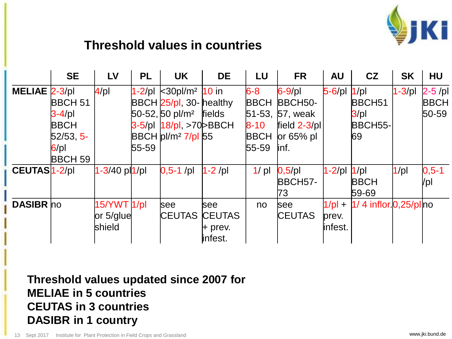

#### **Threshold values in countries**

|                           | <b>SE</b>      | LV                          | <b>PL</b> | <b>UK</b>                                                  | <b>DE</b>     | LU          | <b>FR</b>            | <b>AU</b>         | CZ                        | <b>SK</b>   | <b>HU</b>   |
|---------------------------|----------------|-----------------------------|-----------|------------------------------------------------------------|---------------|-------------|----------------------|-------------------|---------------------------|-------------|-------------|
| <b>MELIAE 2-3/pl</b>      |                | 4/pl                        |           | 1-2/pl k30pl/m <sup>2</sup> 10 in                          |               | $6 - 8$     | $6-9$ /pl            | $5 - 6$ /pl  1/pl |                           | $1 - 3$ /pl | $2-5$ /pl   |
|                           | <b>BBCH 51</b> |                             |           | BBCH 25/pl, 30- healthy                                    |               | <b>BBCH</b> | BBCH <sub>50</sub> - |                   | BBCH <sub>51</sub>        |             | <b>BBCH</b> |
|                           | $3-4$ /pl      |                             |           | $50-52,50 \, \text{pI/m}^2$ fields                         |               |             | 51-53, 57, weak      |                   | 3/pl                      |             | $50 - 59$   |
|                           | <b>BBCH</b>    |                             |           | 3-5/pl   18/pl, >70 > BBCH                                 |               | $8 - 10$    | field $2-3$ /pl      |                   | BBCH55-                   |             |             |
|                           | $52/53, 5-$    |                             |           | $\overline{B}$ BCH $\overline{p}$ I/m <sup>2</sup> 7/pl 55 |               | <b>BBCH</b> | $or 65%$ pl          |                   | 69                        |             |             |
|                           | $6$ /pl        |                             | $55 - 59$ |                                                            |               | 55-59       | linf.                |                   |                           |             |             |
|                           | <b>BBCH 59</b> |                             |           |                                                            |               |             |                      |                   |                           |             |             |
| CEUTAS <sup>1</sup> -2/pl |                | 1-3/40 pl <mark>1/pl</mark> |           | $0,5-1$ /pl                                                | $1-2$ /pl     | 1/pl        | 0,5/pl               | 1-2/pl  1/pl      |                           | 1/pl        | $0, 5 - 1$  |
|                           |                |                             |           |                                                            |               |             | BBCH <sub>57</sub> - |                   | <b>BBCH</b>               |             | /pl         |
|                           |                |                             |           |                                                            |               |             | 73                   |                   | $59 - 69$                 |             |             |
| <b>DASIBR</b> ho          |                | 15/YWT 1/pl                 |           | <b>see</b>                                                 | <b>see</b>    | no          | see                  | $1/pl +$          | $1/4$ inflor $0,25/p$ lno |             |             |
|                           |                | or 5/glue                   |           | <b>CEUTAS</b>                                              | <b>CEUTAS</b> |             | <b>CEUTAS</b>        | prev.             |                           |             |             |
|                           |                | shield                      |           |                                                            | $H$ prev.     |             |                      | infest.           |                           |             |             |
|                           |                |                             |           |                                                            | infest.       |             |                      |                   |                           |             |             |

**Threshold values updated since 2007 for MELIAE in 5 countries CEUTAS in 3 countries DASIBR in 1 country**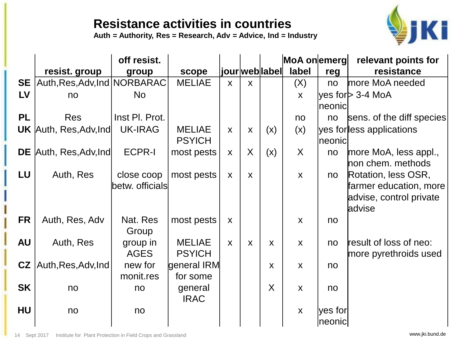#### **Resistance activities in countries**

**Auth = Authority, Res = Research, Adv = Advice, Ind = Industry**



|           |                                | off resist.     |               |              |              |                | MoA onemerg  |         | relevant points for       |
|-----------|--------------------------------|-----------------|---------------|--------------|--------------|----------------|--------------|---------|---------------------------|
|           | resist. group                  | group           | scope         |              |              | jour web label | label        | reg     | resistance                |
| <b>SE</b> | Auth, Res, Adv, Ind   NORBARAC |                 | <b>MELIAE</b> | $\mathsf{X}$ | $\mathsf{X}$ |                | (X)          | no      | more MoA needed           |
| LV        | no                             | <b>No</b>       |               |              |              |                | $\mathsf{X}$ |         | yes for > 3-4 MoA         |
|           |                                |                 |               |              |              |                |              | neonic  |                           |
| <b>PL</b> | <b>Res</b>                     | Inst PI. Prot.  |               |              |              |                | no           | no      | sens. of the diff species |
|           | <b>UK</b> Auth, Res, Adv, Ind  | <b>UK-IRAG</b>  | <b>MELIAE</b> | $\mathsf{X}$ | X            | (x)            | (x)          |         | yes for less applications |
|           |                                |                 | <b>PSYICH</b> |              |              |                |              | neonic  |                           |
|           | <b>DE</b> Auth, Res, Adv, Ind  | <b>ECPR-I</b>   | most pests    | X            | $\sf X$      | (x)            | $\sf X$      | no      | more MoA, less appl.,     |
|           |                                |                 |               |              |              |                |              |         | hon chem. methods         |
| LU        | Auth, Res                      | close coop      | most pests    | $\mathsf{X}$ | $\mathsf{x}$ |                | $\mathsf{X}$ | no      | Rotation, less OSR,       |
|           |                                | betw. officials |               |              |              |                |              |         | farmer education, more    |
|           |                                |                 |               |              |              |                |              |         | advise, control private   |
|           |                                |                 |               |              |              |                |              |         | advise                    |
| <b>FR</b> | Auth, Res, Adv                 | Nat. Res        | most pests    | X            |              |                | X            | no      |                           |
|           |                                | Group           |               |              |              |                |              |         |                           |
| <b>AU</b> | Auth, Res                      | group in        | <b>MELIAE</b> | $\mathsf{X}$ | X            | $\mathsf{X}$   | $\mathsf{X}$ | no      | result of loss of neo:    |
|           |                                | <b>AGES</b>     | <b>PSYICH</b> |              |              |                |              |         | more pyrethroids used     |
| CZ        | Auth, Res, Adv, Ind            | new for         | general IRM   |              |              | X              | $\mathsf{X}$ | no      |                           |
|           |                                | monit.res       | for some      |              |              |                |              |         |                           |
| <b>SK</b> | no                             | no              | general       |              |              | X              | $\mathsf{X}$ | no      |                           |
|           |                                |                 | <b>IRAC</b>   |              |              |                |              |         |                           |
| <b>HU</b> | no                             | no              |               |              |              |                | X            | yes for |                           |
|           |                                |                 |               |              |              |                |              | neonic  |                           |

14 Sept 2017 Institute for Plant Protection in Field Crops and Grassland www.jki.bund.de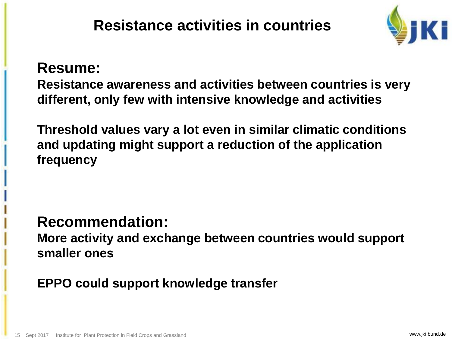

#### **Resume:**

**Resistance awareness and activities between countries is very different, only few with intensive knowledge and activities**

**Threshold values vary a lot even in similar climatic conditions and updating might support a reduction of the application frequency** 

#### **Recommendation:**

**More activity and exchange between countries would support smaller ones**

#### **EPPO could support knowledge transfer**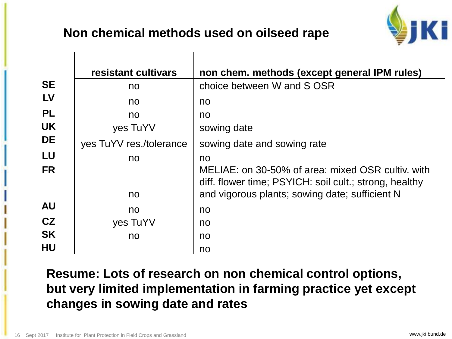#### **Non chemical methods used on oilseed rape**



|           | resistant cultivars     | non chem. methods (except general IPM rules)                                                                |
|-----------|-------------------------|-------------------------------------------------------------------------------------------------------------|
| <b>SE</b> | no                      | choice between W and S OSR                                                                                  |
| LV        | no                      | no                                                                                                          |
| <b>PL</b> | no                      | no                                                                                                          |
| <b>UK</b> | yes TuYV                | sowing date                                                                                                 |
| <b>DE</b> | yes TuYV res./tolerance | sowing date and sowing rate                                                                                 |
| LU        | no                      | no                                                                                                          |
| <b>FR</b> |                         | MELIAE: on 30-50% of area: mixed OSR cultiv. with<br>diff. flower time; PSYICH: soil cult.; strong, healthy |
|           | no                      | and vigorous plants; sowing date; sufficient N                                                              |
| <b>AU</b> | no                      | no                                                                                                          |
| CZ        | yes TuYV                | no                                                                                                          |
| <b>SK</b> | no                      | no                                                                                                          |
| <b>HU</b> |                         | no                                                                                                          |

**Resume: Lots of research on non chemical control options, but very limited implementation in farming practice yet except changes in sowing date and rates**